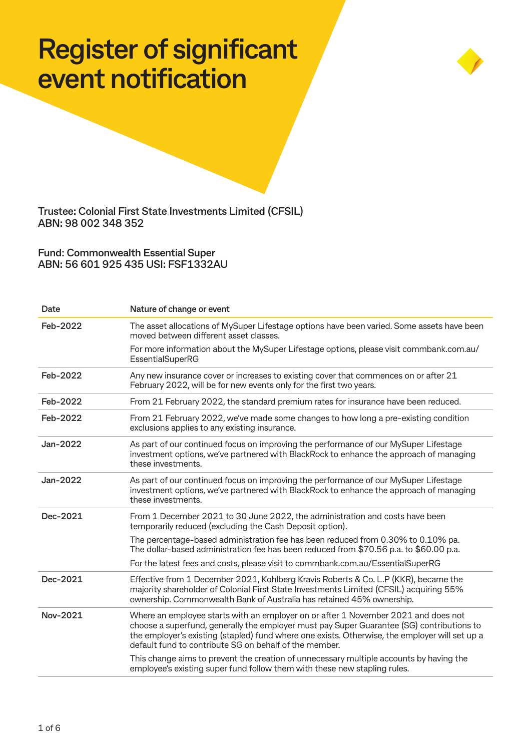## **Register of significant event notification**



**Trustee: Colonial First State Investments Limited (CFSIL) ABN: 98 002 348 352**

**Fund: Commonwealth Essential Super ABN: 56 601 925 435 USI: FSF1332AU**

| Date     | Nature of change or event                                                                                                                                                                                                                                                                                                                   |
|----------|---------------------------------------------------------------------------------------------------------------------------------------------------------------------------------------------------------------------------------------------------------------------------------------------------------------------------------------------|
| Feb-2022 | The asset allocations of MySuper Lifestage options have been varied. Some assets have been<br>moved between different asset classes.                                                                                                                                                                                                        |
|          | For more information about the MySuper Lifestage options, please visit commbank.com.au/<br><b>EssentialSuperRG</b>                                                                                                                                                                                                                          |
| Feb-2022 | Any new insurance cover or increases to existing cover that commences on or after 21<br>February 2022, will be for new events only for the first two years.                                                                                                                                                                                 |
| Feb-2022 | From 21 February 2022, the standard premium rates for insurance have been reduced.                                                                                                                                                                                                                                                          |
| Feb-2022 | From 21 February 2022, we've made some changes to how long a pre-existing condition<br>exclusions applies to any existing insurance.                                                                                                                                                                                                        |
| Jan-2022 | As part of our continued focus on improving the performance of our MySuper Lifestage<br>investment options, we've partnered with BlackRock to enhance the approach of managing<br>these investments.                                                                                                                                        |
| Jan-2022 | As part of our continued focus on improving the performance of our MySuper Lifestage<br>investment options, we've partnered with BlackRock to enhance the approach of managing<br>these investments.                                                                                                                                        |
| Dec-2021 | From 1 December 2021 to 30 June 2022, the administration and costs have been<br>temporarily reduced (excluding the Cash Deposit option).                                                                                                                                                                                                    |
|          | The percentage-based administration fee has been reduced from 0.30% to 0.10% pa.<br>The dollar-based administration fee has been reduced from \$70.56 p.a. to \$60.00 p.a.                                                                                                                                                                  |
|          | For the latest fees and costs, please visit to commbank.com.au/EssentialSuperRG                                                                                                                                                                                                                                                             |
| Dec-2021 | Effective from 1 December 2021, Kohlberg Kravis Roberts & Co. L.P (KKR), became the<br>majority shareholder of Colonial First State Investments Limited (CFSIL) acquiring 55%<br>ownership. Commonwealth Bank of Australia has retained 45% ownership.                                                                                      |
| Nov-2021 | Where an employee starts with an employer on or after 1 November 2021 and does not<br>choose a superfund, generally the employer must pay Super Guarantee (SG) contributions to<br>the employer's existing (stapled) fund where one exists. Otherwise, the employer will set up a<br>default fund to contribute SG on behalf of the member. |
|          | This change aims to prevent the creation of unnecessary multiple accounts by having the<br>employee's existing super fund follow them with these new stapling rules.                                                                                                                                                                        |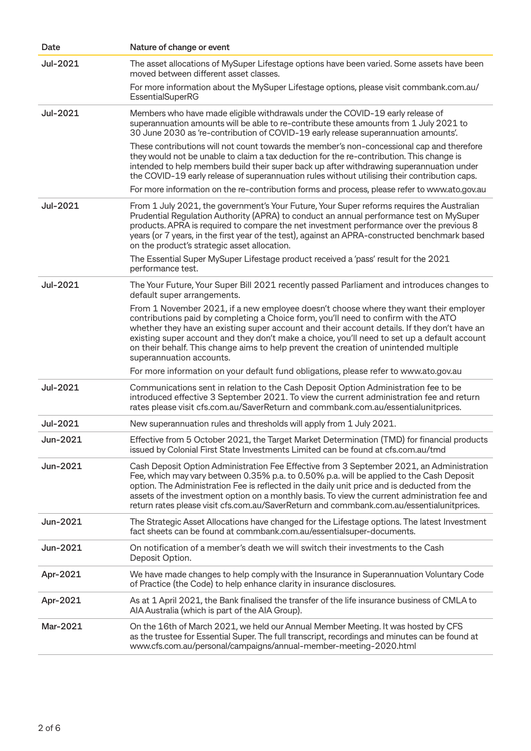| Date     | Nature of change or event                                                                                                                                                                                                                                                                                                                                                                                                                                                                         |
|----------|---------------------------------------------------------------------------------------------------------------------------------------------------------------------------------------------------------------------------------------------------------------------------------------------------------------------------------------------------------------------------------------------------------------------------------------------------------------------------------------------------|
| Jul-2021 | The asset allocations of MySuper Lifestage options have been varied. Some assets have been<br>moved between different asset classes.                                                                                                                                                                                                                                                                                                                                                              |
|          | For more information about the MySuper Lifestage options, please visit commbank.com.au/<br><b>EssentialSuperRG</b>                                                                                                                                                                                                                                                                                                                                                                                |
| Jul-2021 | Members who have made eligible withdrawals under the COVID-19 early release of<br>superannuation amounts will be able to re-contribute these amounts from 1 July 2021 to<br>30 June 2030 as 're-contribution of COVID-19 early release superannuation amounts'.                                                                                                                                                                                                                                   |
|          | These contributions will not count towards the member's non-concessional cap and therefore<br>they would not be unable to claim a tax deduction for the re-contribution. This change is<br>intended to help members build their super back up after withdrawing superannuation under<br>the COVID-19 early release of superannuation rules without utilising their contribution caps.                                                                                                             |
|          | For more information on the re-contribution forms and process, please refer to www.ato.gov.au                                                                                                                                                                                                                                                                                                                                                                                                     |
| Jul-2021 | From 1 July 2021, the government's Your Future, Your Super reforms requires the Australian<br>Prudential Regulation Authority (APRA) to conduct an annual performance test on MySuper<br>products. APRA is required to compare the net investment performance over the previous 8<br>years (or 7 years, in the first year of the test), against an APRA-constructed benchmark based<br>on the product's strategic asset allocation.                                                               |
|          | The Essential Super MySuper Lifestage product received a 'pass' result for the 2021<br>performance test.                                                                                                                                                                                                                                                                                                                                                                                          |
| Jul-2021 | The Your Future, Your Super Bill 2021 recently passed Parliament and introduces changes to<br>default super arrangements.                                                                                                                                                                                                                                                                                                                                                                         |
|          | From 1 November 2021, if a new employee doesn't choose where they want their employer<br>contributions paid by completing a Choice form, you'll need to confirm with the ATO<br>whether they have an existing super account and their account details. If they don't have an<br>existing super account and they don't make a choice, you'll need to set up a default account<br>on their behalf. This change aims to help prevent the creation of unintended multiple<br>superannuation accounts. |
|          | For more information on your default fund obligations, please refer to www.ato.gov.au                                                                                                                                                                                                                                                                                                                                                                                                             |
| Jul-2021 | Communications sent in relation to the Cash Deposit Option Administration fee to be<br>introduced effective 3 September 2021. To view the current administration fee and return<br>rates please visit cfs.com.au/SaverReturn and commbank.com.au/essentialunitprices.                                                                                                                                                                                                                             |
| Jul-2021 | New superannuation rules and thresholds will apply from 1 July 2021.                                                                                                                                                                                                                                                                                                                                                                                                                              |
| Jun-2021 | Effective from 5 October 2021, the Target Market Determination (TMD) for financial products<br>issued by Colonial First State Investments Limited can be found at cfs.com.au/tmd                                                                                                                                                                                                                                                                                                                  |
| Jun-2021 | Cash Deposit Option Administration Fee Effective from 3 September 2021, an Administration<br>Fee, which may vary between 0.35% p.a. to 0.50% p.a. will be applied to the Cash Deposit<br>option. The Administration Fee is reflected in the daily unit price and is deducted from the<br>assets of the investment option on a monthly basis. To view the current administration fee and<br>return rates please visit cfs.com.au/SaverReturn and commbank.com.au/essentialunitprices.              |
| Jun-2021 | The Strategic Asset Allocations have changed for the Lifestage options. The latest Investment<br>fact sheets can be found at commbank.com.au/essentialsuper-documents.                                                                                                                                                                                                                                                                                                                            |
| Jun-2021 | On notification of a member's death we will switch their investments to the Cash<br>Deposit Option.                                                                                                                                                                                                                                                                                                                                                                                               |
| Apr-2021 | We have made changes to help comply with the Insurance in Superannuation Voluntary Code<br>of Practice (the Code) to help enhance clarity in insurance disclosures.                                                                                                                                                                                                                                                                                                                               |
| Apr-2021 | As at 1 April 2021, the Bank finalised the transfer of the life insurance business of CMLA to<br>AIA Australia (which is part of the AIA Group).                                                                                                                                                                                                                                                                                                                                                  |
| Mar-2021 | On the 16th of March 2021, we held our Annual Member Meeting. It was hosted by CFS<br>as the trustee for Essential Super. The full transcript, recordings and minutes can be found at<br>www.cfs.com.au/personal/campaigns/annual-member-meeting-2020.html                                                                                                                                                                                                                                        |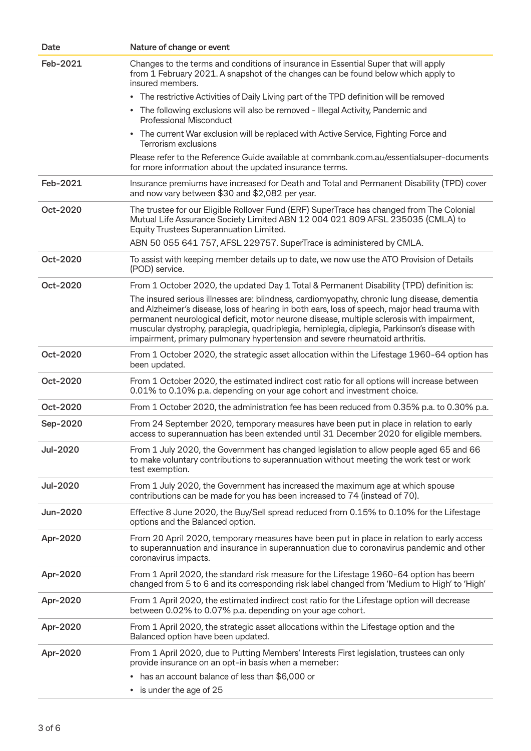| Date            | Nature of change or event                                                                                                                                                                                                                                                                                                                                                                                                                                                  |
|-----------------|----------------------------------------------------------------------------------------------------------------------------------------------------------------------------------------------------------------------------------------------------------------------------------------------------------------------------------------------------------------------------------------------------------------------------------------------------------------------------|
| Feb-2021        | Changes to the terms and conditions of insurance in Essential Super that will apply<br>from 1 February 2021. A snapshot of the changes can be found below which apply to<br>insured members.                                                                                                                                                                                                                                                                               |
|                 | • The restrictive Activities of Daily Living part of the TPD definition will be removed                                                                                                                                                                                                                                                                                                                                                                                    |
|                 | • The following exclusions will also be removed - Illegal Activity, Pandemic and<br><b>Professional Misconduct</b>                                                                                                                                                                                                                                                                                                                                                         |
|                 | The current War exclusion will be replaced with Active Service, Fighting Force and<br>$\bullet$<br>Terrorism exclusions                                                                                                                                                                                                                                                                                                                                                    |
|                 | Please refer to the Reference Guide available at commbank.com.au/essentialsuper-documents<br>for more information about the updated insurance terms.                                                                                                                                                                                                                                                                                                                       |
| Feb-2021        | Insurance premiums have increased for Death and Total and Permanent Disability (TPD) cover<br>and now vary between \$30 and \$2,082 per year.                                                                                                                                                                                                                                                                                                                              |
| Oct-2020        | The trustee for our Eligible Rollover Fund (ERF) SuperTrace has changed from The Colonial<br>Mutual Life Assurance Society Limited ABN 12 004 021 809 AFSL 235035 (CMLA) to<br>Equity Trustees Superannuation Limited.                                                                                                                                                                                                                                                     |
|                 | ABN 50 055 641 757, AFSL 229757. SuperTrace is administered by CMLA.                                                                                                                                                                                                                                                                                                                                                                                                       |
| Oct-2020        | To assist with keeping member details up to date, we now use the ATO Provision of Details<br>(POD) service.                                                                                                                                                                                                                                                                                                                                                                |
| Oct-2020        | From 1 October 2020, the updated Day 1 Total & Permanent Disability (TPD) definition is:                                                                                                                                                                                                                                                                                                                                                                                   |
|                 | The insured serious illnesses are: blindness, cardiomyopathy, chronic lung disease, dementia<br>and Alzheimer's disease, loss of hearing in both ears, loss of speech, major head trauma with<br>permanent neurological deficit, motor neurone disease, multiple sclerosis with impairment,<br>muscular dystrophy, paraplegia, quadriplegia, hemiplegia, diplegia, Parkinson's disease with<br>impairment, primary pulmonary hypertension and severe rheumatoid arthritis. |
| Oct-2020        | From 1 October 2020, the strategic asset allocation within the Lifestage 1960-64 option has<br>been updated.                                                                                                                                                                                                                                                                                                                                                               |
| Oct-2020        | From 1 October 2020, the estimated indirect cost ratio for all options will increase between<br>0.01% to 0.10% p.a. depending on your age cohort and investment choice.                                                                                                                                                                                                                                                                                                    |
| Oct-2020        | From 1 October 2020, the administration fee has been reduced from 0.35% p.a. to 0.30% p.a.                                                                                                                                                                                                                                                                                                                                                                                 |
| Sep-2020        | From 24 September 2020, temporary measures have been put in place in relation to early<br>access to superannuation has been extended until 31 December 2020 for eligible members.                                                                                                                                                                                                                                                                                          |
| <b>Jul-2020</b> | From 1 July 2020, the Government has changed legislation to allow people aged 65 and 66<br>to make voluntary contributions to superannuation without meeting the work test or work<br>test exemption.                                                                                                                                                                                                                                                                      |
| <b>Jul-2020</b> | From 1 July 2020, the Government has increased the maximum age at which spouse<br>contributions can be made for you has been increased to 74 (instead of 70).                                                                                                                                                                                                                                                                                                              |
| Jun-2020        | Effective 8 June 2020, the Buy/Sell spread reduced from 0.15% to 0.10% for the Lifestage<br>options and the Balanced option.                                                                                                                                                                                                                                                                                                                                               |
| Apr-2020        | From 20 April 2020, temporary measures have been put in place in relation to early access<br>to superannuation and insurance in superannuation due to coronavirus pandemic and other<br>coronavirus impacts.                                                                                                                                                                                                                                                               |
| Apr-2020        | From 1 April 2020, the standard risk measure for the Lifestage 1960-64 option has beem<br>changed from 5 to 6 and its corresponding risk label changed from 'Medium to High' to 'High'                                                                                                                                                                                                                                                                                     |
| Apr-2020        | From 1 April 2020, the estimated indirect cost ratio for the Lifestage option will decrease<br>between 0.02% to 0.07% p.a. depending on your age cohort.                                                                                                                                                                                                                                                                                                                   |
| Apr-2020        | From 1 April 2020, the strategic asset allocations within the Lifestage option and the<br>Balanced option have been updated.                                                                                                                                                                                                                                                                                                                                               |
| Apr-2020        | From 1 April 2020, due to Putting Members' Interests First legislation, trustees can only<br>provide insurance on an opt-in basis when a memeber:<br>has an account balance of less than \$6,000 or<br>$\bullet$<br>• is under the age of 25                                                                                                                                                                                                                               |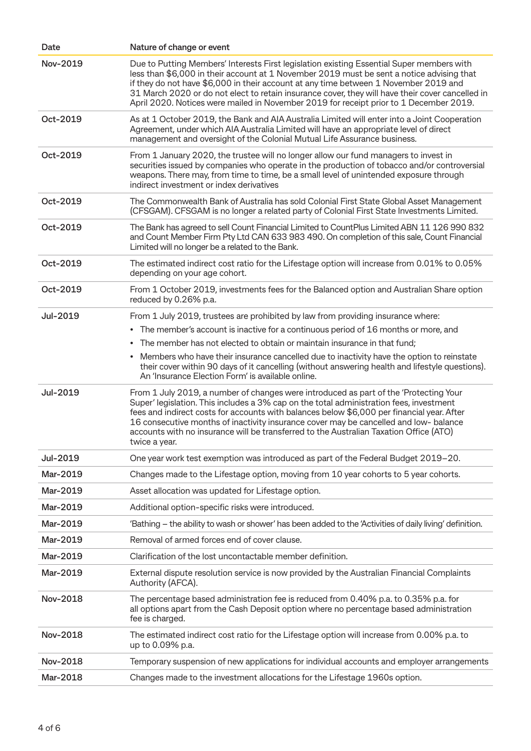| Date     | Nature of change or event                                                                                                                                                                                                                                                                                                                                                                                                                                                          |
|----------|------------------------------------------------------------------------------------------------------------------------------------------------------------------------------------------------------------------------------------------------------------------------------------------------------------------------------------------------------------------------------------------------------------------------------------------------------------------------------------|
| Nov-2019 | Due to Putting Members' Interests First legislation existing Essential Super members with<br>less than \$6,000 in their account at 1 November 2019 must be sent a notice advising that<br>if they do not have \$6,000 in their account at any time between 1 November 2019 and<br>31 March 2020 or do not elect to retain insurance cover, they will have their cover cancelled in<br>April 2020. Notices were mailed in November 2019 for receipt prior to 1 December 2019.       |
| Oct-2019 | As at 1 October 2019, the Bank and AIA Australia Limited will enter into a Joint Cooperation<br>Agreement, under which AIA Australia Limited will have an appropriate level of direct<br>management and oversight of the Colonial Mutual Life Assurance business.                                                                                                                                                                                                                  |
| Oct-2019 | From 1 January 2020, the trustee will no longer allow our fund managers to invest in<br>securities issued by companies who operate in the production of tobacco and/or controversial<br>weapons. There may, from time to time, be a small level of unintended exposure through<br>indirect investment or index derivatives                                                                                                                                                         |
| Oct-2019 | The Commonwealth Bank of Australia has sold Colonial First State Global Asset Management<br>(CFSGAM). CFSGAM is no longer a related party of Colonial First State Investments Limited.                                                                                                                                                                                                                                                                                             |
| Oct-2019 | The Bank has agreed to sell Count Financial Limited to CountPlus Limited ABN 11 126 990 832<br>and Count Member Firm Pty Ltd CAN 633 983 490. On completion of this sale, Count Financial<br>Limited will no longer be a related to the Bank.                                                                                                                                                                                                                                      |
| Oct-2019 | The estimated indirect cost ratio for the Lifestage option will increase from 0.01% to 0.05%<br>depending on your age cohort.                                                                                                                                                                                                                                                                                                                                                      |
| Oct-2019 | From 1 October 2019, investments fees for the Balanced option and Australian Share option<br>reduced by 0.26% p.a.                                                                                                                                                                                                                                                                                                                                                                 |
| Jul-2019 | From 1 July 2019, trustees are prohibited by law from providing insurance where:                                                                                                                                                                                                                                                                                                                                                                                                   |
|          | The member's account is inactive for a continuous period of 16 months or more, and<br>$\bullet$                                                                                                                                                                                                                                                                                                                                                                                    |
|          | The member has not elected to obtain or maintain insurance in that fund;<br>$\bullet$                                                                                                                                                                                                                                                                                                                                                                                              |
|          | Members who have their insurance cancelled due to inactivity have the option to reinstate<br>٠<br>their cover within 90 days of it cancelling (without answering health and lifestyle questions).<br>An 'Insurance Election Form' is available online.                                                                                                                                                                                                                             |
| Jul-2019 | From 1 July 2019, a number of changes were introduced as part of the 'Protecting Your<br>Super' legislation. This includes a 3% cap on the total administration fees, investment<br>fees and indirect costs for accounts with balances below \$6,000 per financial year. After<br>16 consecutive months of inactivity insurance cover may be cancelled and low- balance<br>accounts with no insurance will be transferred to the Australian Taxation Office (ATO)<br>twice a year. |
| Jul-2019 | One year work test exemption was introduced as part of the Federal Budget 2019–20.                                                                                                                                                                                                                                                                                                                                                                                                 |
| Mar-2019 | Changes made to the Lifestage option, moving from 10 year cohorts to 5 year cohorts.                                                                                                                                                                                                                                                                                                                                                                                               |
| Mar-2019 | Asset allocation was updated for Lifestage option.                                                                                                                                                                                                                                                                                                                                                                                                                                 |
| Mar-2019 | Additional option-specific risks were introduced.                                                                                                                                                                                                                                                                                                                                                                                                                                  |
| Mar-2019 | 'Bathing – the ability to wash or shower' has been added to the 'Activities of daily living' definition.                                                                                                                                                                                                                                                                                                                                                                           |
| Mar-2019 | Removal of armed forces end of cover clause.                                                                                                                                                                                                                                                                                                                                                                                                                                       |
| Mar-2019 | Clarification of the lost uncontactable member definition.                                                                                                                                                                                                                                                                                                                                                                                                                         |
| Mar-2019 | External dispute resolution service is now provided by the Australian Financial Complaints<br>Authority (AFCA).                                                                                                                                                                                                                                                                                                                                                                    |
| Nov-2018 | The percentage based administration fee is reduced from 0.40% p.a. to 0.35% p.a. for<br>all options apart from the Cash Deposit option where no percentage based administration<br>fee is charged.                                                                                                                                                                                                                                                                                 |
| Nov-2018 | The estimated indirect cost ratio for the Lifestage option will increase from 0.00% p.a. to<br>up to 0.09% p.a.                                                                                                                                                                                                                                                                                                                                                                    |
| Nov-2018 | Temporary suspension of new applications for individual accounts and employer arrangements                                                                                                                                                                                                                                                                                                                                                                                         |
| Mar-2018 | Changes made to the investment allocations for the Lifestage 1960s option.                                                                                                                                                                                                                                                                                                                                                                                                         |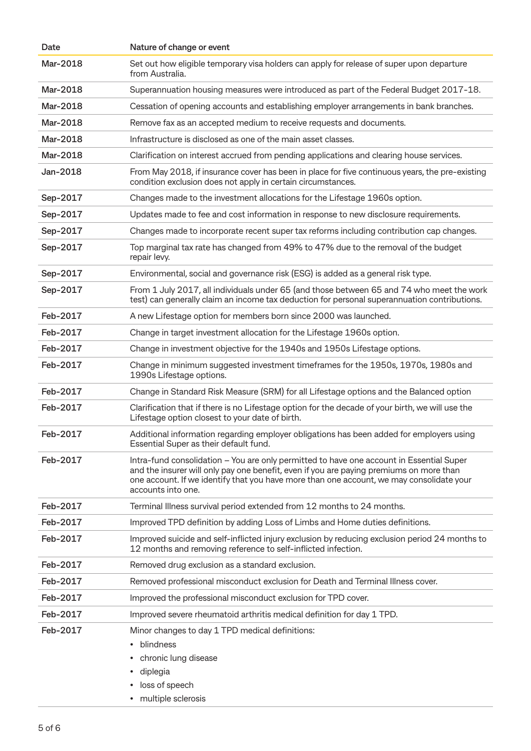| Date     | Nature of change or event                                                                                                                                                                                                                                                                             |
|----------|-------------------------------------------------------------------------------------------------------------------------------------------------------------------------------------------------------------------------------------------------------------------------------------------------------|
| Mar-2018 | Set out how eligible temporary visa holders can apply for release of super upon departure<br>from Australia.                                                                                                                                                                                          |
| Mar-2018 | Superannuation housing measures were introduced as part of the Federal Budget 2017-18.                                                                                                                                                                                                                |
| Mar-2018 | Cessation of opening accounts and establishing employer arrangements in bank branches.                                                                                                                                                                                                                |
| Mar-2018 | Remove fax as an accepted medium to receive requests and documents.                                                                                                                                                                                                                                   |
| Mar-2018 | Infrastructure is disclosed as one of the main asset classes.                                                                                                                                                                                                                                         |
| Mar-2018 | Clarification on interest accrued from pending applications and clearing house services.                                                                                                                                                                                                              |
| Jan-2018 | From May 2018, if insurance cover has been in place for five continuous years, the pre-existing<br>condition exclusion does not apply in certain circumstances.                                                                                                                                       |
| Sep-2017 | Changes made to the investment allocations for the Lifestage 1960s option.                                                                                                                                                                                                                            |
| Sep-2017 | Updates made to fee and cost information in response to new disclosure requirements.                                                                                                                                                                                                                  |
| Sep-2017 | Changes made to incorporate recent super tax reforms including contribution cap changes.                                                                                                                                                                                                              |
| Sep-2017 | Top marginal tax rate has changed from 49% to 47% due to the removal of the budget<br>repair levy.                                                                                                                                                                                                    |
| Sep-2017 | Environmental, social and governance risk (ESG) is added as a general risk type.                                                                                                                                                                                                                      |
| Sep-2017 | From 1 July 2017, all individuals under 65 (and those between 65 and 74 who meet the work<br>test) can generally claim an income tax deduction for personal superannuation contributions.                                                                                                             |
| Feb-2017 | A new Lifestage option for members born since 2000 was launched.                                                                                                                                                                                                                                      |
| Feb-2017 | Change in target investment allocation for the Lifestage 1960s option.                                                                                                                                                                                                                                |
| Feb-2017 | Change in investment objective for the 1940s and 1950s Lifestage options.                                                                                                                                                                                                                             |
| Feb-2017 | Change in minimum suggested investment timeframes for the 1950s, 1970s, 1980s and<br>1990s Lifestage options.                                                                                                                                                                                         |
| Feb-2017 | Change in Standard Risk Measure (SRM) for all Lifestage options and the Balanced option                                                                                                                                                                                                               |
| Feb-2017 | Clarification that if there is no Lifestage option for the decade of your birth, we will use the<br>Lifestage option closest to your date of birth.                                                                                                                                                   |
| Feb-2017 | Additional information regarding employer obligations has been added for employers using<br>Essential Super as their default fund.                                                                                                                                                                    |
| Feb-2017 | Intra-fund consolidation – You are only permitted to have one account in Essential Super<br>and the insurer will only pay one benefit, even if you are paying premiums on more than<br>one account. If we identify that you have more than one account, we may consolidate your<br>accounts into one. |
| Feb-2017 | Terminal Illness survival period extended from 12 months to 24 months.                                                                                                                                                                                                                                |
| Feb-2017 | Improved TPD definition by adding Loss of Limbs and Home duties definitions.                                                                                                                                                                                                                          |
| Feb-2017 | Improved suicide and self-inflicted injury exclusion by reducing exclusion period 24 months to<br>12 months and removing reference to self-inflicted infection.                                                                                                                                       |
| Feb-2017 | Removed drug exclusion as a standard exclusion.                                                                                                                                                                                                                                                       |
| Feb-2017 | Removed professional misconduct exclusion for Death and Terminal Illness cover.                                                                                                                                                                                                                       |
| Feb-2017 | Improved the professional misconduct exclusion for TPD cover.                                                                                                                                                                                                                                         |
| Feb-2017 | Improved severe rheumatoid arthritis medical definition for day 1 TPD.                                                                                                                                                                                                                                |
| Feb-2017 | Minor changes to day 1 TPD medical definitions:<br>blindness<br>chronic lung disease<br>diplegia<br>$\bullet$<br>loss of speech<br>multiple sclerosis<br>٠                                                                                                                                            |